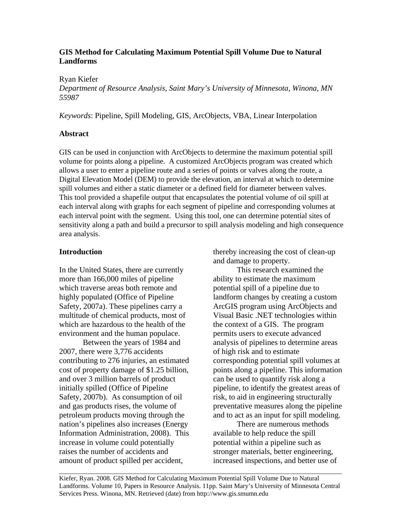# **GIS Method for Calculating Maximum Potential Spill Volume Due to Natural Landforms**

## Ryan Kiefer

*Department of Resource Analysis, Saint Mary's University of Minnesota, Winona, MN 55987*

*Keywords*: Pipeline, Spill Modeling, GIS, ArcObjects, VBA, Linear Interpolation

# **Abstract**

GIS can be used in conjunction with ArcObjects to determine the maximum potential spill volume for points along a pipeline. A customized ArcObjects program was created which allows a user to enter a pipeline route and a series of points or valves along the route, a Digital Elevation Model (DEM) to provide the elevation, an interval at which to determine spill volumes and either a static diameter or a defined field for diameter between valves. This tool provided a shapefile output that encapsulates the potential volume of oil spill at each interval along with graphs for each segment of pipeline and corresponding volumes at each interval point with the segment. Using this tool, one can determine potential sites of sensitivity along a path and build a precursor to spill analysis modeling and high consequence area analysis.

# **Introduction**

In the United States, there are currently more than 166,000 miles of pipeline which traverse areas both remote and highly populated (Office of Pipeline Safety, 2007a). These pipelines carry a multitude of chemical products, most of which are hazardous to the health of the environment and the human populace.

 Between the years of 1984 and 2007, there were 3,776 accidents contributing to 276 injuries, an estimated cost of property damage of \$1.25 billion, and over 3 million barrels of product initially spilled (Office of Pipeline Safety, 2007b). As consumption of oil and gas products rises, the volume of petroleum products moving through the nation's pipelines also increases (Energy Information Administration, 2008). This increase in volume could potentially raises the number of accidents and amount of product spilled per accident,

thereby increasing the cost of clean-up and damage to property.

This research examined the ability to estimate the maximum potential spill of a pipeline due to landform changes by creating a custom ArcGIS program using ArcObjects and Visual Basic .NET technologies within the context of a GIS. The program permits users to execute advanced analysis of pipelines to determine areas of high risk and to estimate corresponding potential spill volumes at points along a pipeline. This information can be used to quantify risk along a pipeline, to identify the greatest areas of risk, to aid in engineering structurally preventative measures along the pipeline and to act as an input for spill modeling.

There are numerous methods available to help reduce the spill potential within a pipeline such as stronger materials, better engineering, increased inspections, and better use of

Kiefer, Ryan. 2008. GIS Method for Calculating Maximum Potential Spill Volume Due to Natural Landforms. Volume 10, Papers in Resource Analysis. 11pp. Saint Mary's University of Minnesota Central Services Press. Winona, MN. Retrieved (date) from http://www.gis.smumn.edu

\_\_\_\_\_\_\_\_\_\_\_\_\_\_\_\_\_\_\_\_\_\_\_\_\_\_\_\_\_\_\_\_\_\_\_\_\_\_\_\_\_\_\_\_\_\_\_\_\_\_\_\_\_\_\_\_\_\_\_\_\_\_\_\_\_\_\_\_\_\_\_\_\_\_\_\_\_\_\_\_\_\_\_\_\_\_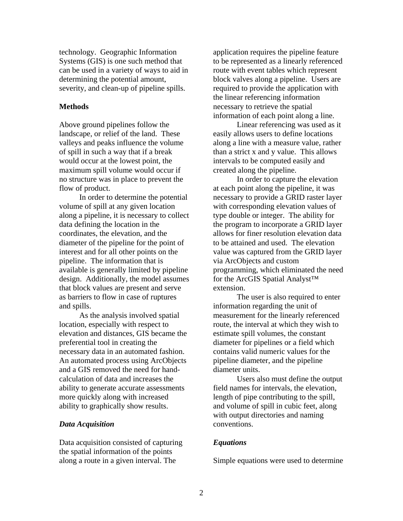technology. Geographic Information Systems (GIS) is one such method that can be used in a variety of ways to aid in determining the potential amount, severity, and clean-up of pipeline spills.

#### **Methods**

Above ground pipelines follow the landscape, or relief of the land. These valleys and peaks influence the volume of spill in such a way that if a break would occur at the lowest point, the maximum spill volume would occur if no structure was in place to prevent the flow of product.

In order to determine the potential volume of spill at any given location along a pipeline, it is necessary to collect data defining the location in the coordinates, the elevation, and the diameter of the pipeline for the point of interest and for all other points on the pipeline. The information that is available is generally limited by pipeline design. Additionally, the model assumes that block values are present and serve as barriers to flow in case of ruptures and spills.

As the analysis involved spatial location, especially with respect to elevation and distances, GIS became the preferential tool in creating the necessary data in an automated fashion. An automated process using ArcObjects and a GIS removed the need for handcalculation of data and increases the ability to generate accurate assessments more quickly along with increased ability to graphically show results.

### *Data Acquisition*

Data acquisition consisted of capturing the spatial information of the points along a route in a given interval. The

application requires the pipeline feature to be represented as a linearly referenced route with event tables which represent block valves along a pipeline. Users are required to provide the application with the linear referencing information necessary to retrieve the spatial information of each point along a line.

Linear referencing was used as it easily allows users to define locations along a line with a measure value, rather than a strict x and y value. This allows intervals to be computed easily and created along the pipeline.

In order to capture the elevation at each point along the pipeline, it was necessary to provide a GRID raster layer with corresponding elevation values of type double or integer. The ability for the program to incorporate a GRID layer allows for finer resolution elevation data to be attained and used. The elevation value was captured from the GRID layer via ArcObjects and custom programming, which eliminated the need for the ArcGIS Spatial Analyst™ extension.

The user is also required to enter information regarding the unit of measurement for the linearly referenced route, the interval at which they wish to estimate spill volumes, the constant diameter for pipelines or a field which contains valid numeric values for the pipeline diameter, and the pipeline diameter units.

Users also must define the output field names for intervals, the elevation, length of pipe contributing to the spill, and volume of spill in cubic feet, along with output directories and naming conventions.

#### *Equations*

Simple equations were used to determine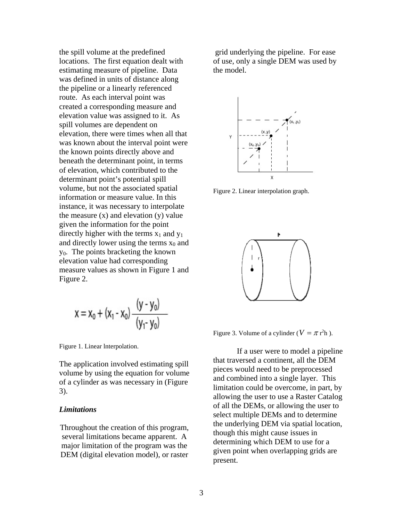the spill volume at the predefined locations. The first equation dealt with estimating measure of pipeline. Data was defined in units of distance along the pipeline or a linearly referenced route. As each interval point was created a corresponding measure and elevation value was assigned to it. As spill volumes are dependent on elevation, there were times when all that was known about the interval point were the known points directly above and beneath the determinant point, in terms of elevation, which contributed to the determinant point's potential spill volume, but not the associated spatial information or measure value. In this instance, it was necessary to interpolate the measure  $(x)$  and elevation  $(y)$  value given the information for the point directly higher with the terms  $x_1$  and  $y_1$ and directly lower using the terms  $x_0$  and y0. The points bracketing the known elevation value had corresponding measure values as shown in Figure 1 and Figure 2.

$$
x = x_0 + (x_1 - x_0) \frac{(y - y_0)}{(y_1 - y_0)}
$$

Figure 1. Linear lnterpolation.

The application involved estimating spill volume by using the equation for volume of a cylinder as was necessary in (Figure 3).

#### *Limitations*

Throughout the creation of this program, several limitations became apparent. A major limitation of the program was the DEM (digital elevation model), or raster

 grid underlying the pipeline. For ease of use, only a single DEM was used by the model.



Figure 2. Linear interpolation graph.



Figure 3. Volume of a cylinder ( $V = \pi r^2 h$ ).

If a user were to model a pipeline that traversed a continent, all the DEM pieces would need to be preprocessed and combined into a single layer. This limitation could be overcome, in part, by allowing the user to use a Raster Catalog of all the DEMs, or allowing the user to select multiple DEMs and to determine the underlying DEM via spatial location, though this might cause issues in determining which DEM to use for a given point when overlapping grids are present.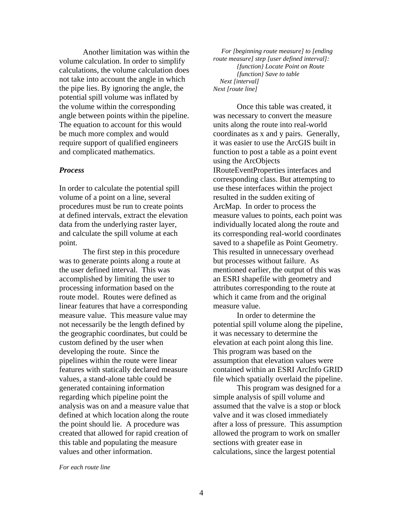Another limitation was within the volume calculation. In order to simplify calculations, the volume calculation does not take into account the angle in which the pipe lies. By ignoring the angle, the potential spill volume was inflated by the volume within the corresponding angle between points within the pipeline. The equation to account for this would be much more complex and would require support of qualified engineers and complicated mathematics.

#### *Process*

In order to calculate the potential spill volume of a point on a line, several procedures must be run to create points at defined intervals, extract the elevation data from the underlying raster layer, and calculate the spill volume at each point.

 The first step in this procedure was to generate points along a route at the user defined interval. This was accomplished by limiting the user to processing information based on the route model. Routes were defined as linear features that have a corresponding measure value. This measure value may not necessarily be the length defined by the geographic coordinates, but could be custom defined by the user when developing the route. Since the pipelines within the route were linear features with statically declared measure values, a stand-alone table could be generated containing information regarding which pipeline point the analysis was on and a measure value that defined at which location along the route the point should lie. A procedure was created that allowed for rapid creation of this table and populating the measure values and other information.

 *For [beginning route measure] to [ending route measure] step [user defined interval]: {function} Locate Point on Route {function} Save to table Next [interval] Next [route line]* 

 Once this table was created, it was necessary to convert the measure units along the route into real-world coordinates as x and y pairs. Generally, it was easier to use the ArcGIS built in function to post a table as a point event using the ArcObjects IRouteEventProperties interfaces and corresponding class. But attempting to use these interfaces within the project resulted in the sudden exiting of ArcMap. In order to process the measure values to points, each point was individually located along the route and its corresponding real-world coordinates saved to a shapefile as Point Geometry. This resulted in unnecessary overhead but processes without failure. As mentioned earlier, the output of this was an ESRI shapefile with geometry and attributes corresponding to the route at which it came from and the original measure value.

 In order to determine the potential spill volume along the pipeline, it was necessary to determine the elevation at each point along this line. This program was based on the assumption that elevation values were contained within an ESRI ArcInfo GRID file which spatially overlaid the pipeline.

 This program was designed for a simple analysis of spill volume and assumed that the valve is a stop or block valve and it was closed immediately after a loss of pressure. This assumption allowed the program to work on smaller sections with greater ease in calculations, since the largest potential

*For each route line*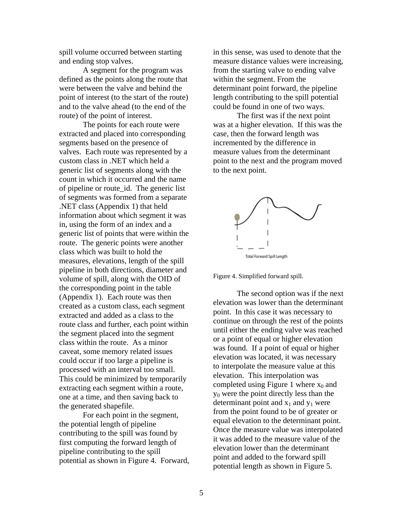spill volume occurred between starting and ending stop valves.

 A segment for the program was defined as the points along the route that were between the valve and behind the point of interest (to the start of the route) and to the valve ahead (to the end of the route) of the point of interest.

 The points for each route were extracted and placed into corresponding segments based on the presence of valves. Each route was represented by a custom class in .NET which held a generic list of segments along with the count in which it occurred and the name of pipeline or route\_id. The generic list of segments was formed from a separate .NET class (Appendix 1) that held information about which segment it was in, using the form of an index and a generic list of points that were within the route. The generic points were another class which was built to hold the measures, elevations, length of the spill pipeline in both directions, diameter and volume of spill, along with the OID of the corresponding point in the table (Appendix 1). Each route was then created as a custom class, each segment extracted and added as a class to the route class and further, each point within the segment placed into the segment class within the route. As a minor caveat, some memory related issues could occur if too large a pipeline is processed with an interval too small. This could be minimized by temporarily extracting each segment within a route, one at a time, and then saving back to the generated shapefile.

 For each point in the segment, the potential length of pipeline contributing to the spill was found by first computing the forward length of pipeline contributing to the spill potential as shown in Figure 4. Forward, in this sense, was used to denote that the measure distance values were increasing, from the starting valve to ending valve within the segment. From the determinant point forward, the pipeline length contributing to the spill potential could be found in one of two ways.

The first was if the next point was at a higher elevation. If this was the case, then the forward length was incremented by the difference in measure values from the determinant point to the next and the program moved to the next point.



Figure 4. Simplified forward spill.

The second option was if the next elevation was lower than the determinant point. In this case it was necessary to continue on through the rest of the points until either the ending valve was reached or a point of equal or higher elevation was found. If a point of equal or higher elevation was located, it was necessary to interpolate the measure value at this elevation. This interpolation was completed using Figure 1 where  $x_0$  and y0 were the point directly less than the determinant point and  $x_1$  and  $y_1$  were from the point found to be of greater or equal elevation to the determinant point. Once the measure value was interpolated it was added to the measure value of the elevation lower than the determinant point and added to the forward spill potential length as shown in Figure 5.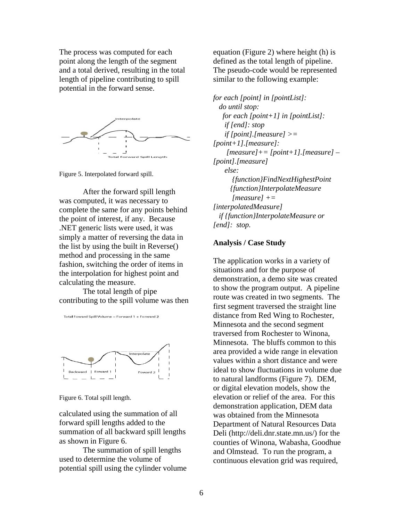The process was computed for each point along the length of the segment and a total derived, resulting in the total length of pipeline contributing to spill potential in the forward sense.



Figure 5. Interpolated forward spill.

 After the forward spill length was computed, it was necessary to complete the same for any points behind the point of interest, if any. Because .NET generic lists were used, it was simply a matter of reversing the data in the list by using the built in Reverse() method and processing in the same fashion, switching the order of items in the interpolation for highest point and calculating the measure.

The total length of pipe contributing to the spill volume was then

Total Foward Spill Volume = Forward 1 + Forward 2



Figure 6. Total spill length.

calculated using the summation of all forward spill lengths added to the summation of all backward spill lengths as shown in Figure 6.

 The summation of spill lengths used to determine the volume of potential spill using the cylinder volume equation (Figure 2) where height (h) is defined as the total length of pipeline. The pseudo-code would be represented similar to the following example:

*for each [point] in [pointList]: do until stop: for each [point+1] in [pointList]: if [end]: stop if [point].[measure] >= [point+1].[measure]: [measure]+= [point+1].[measure] – [point].[measure] else: {function}FindNextHighestPoint {function}InterpolateMeasure [measure] += [interpolatedMeasure] if {function}InterpolateMeasure or [end]: stop.* 

### **Analysis / Case Study**

The application works in a variety of situations and for the purpose of demonstration, a demo site was created to show the program output. A pipeline route was created in two segments. The first segment traversed the straight line distance from Red Wing to Rochester, Minnesota and the second segment traversed from Rochester to Winona, Minnesota. The bluffs common to this area provided a wide range in elevation values within a short distance and were ideal to show fluctuations in volume due to natural landforms (Figure 7). DEM, or digital elevation models, show the elevation or relief of the area. For this demonstration application, DEM data was obtained from the Minnesota Department of Natural Resources Data Deli (http://deli.dnr.state.mn.us/) for the counties of Winona, Wabasha, Goodhue and Olmstead. To run the program, a continuous elevation grid was required,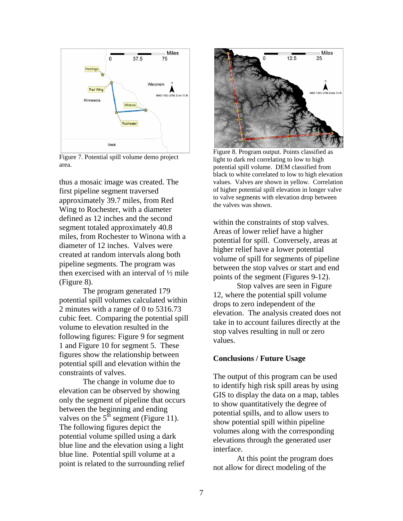

Figure 7. Potential spill volume demo project area.

thus a mosaic image was created. The first pipeline segment traversed approximately 39.7 miles, from Red Wing to Rochester, with a diameter defined as 12 inches and the second segment totaled approximately 40.8 miles, from Rochester to Winona with a diameter of 12 inches. Valves were created at random intervals along both pipeline segments. The program was then exercised with an interval of ½ mile (Figure 8).

The program generated 179 potential spill volumes calculated within 2 minutes with a range of 0 to 5316.73 cubic feet. Comparing the potential spill volume to elevation resulted in the following figures: Figure 9 for segment 1 and Figure 10 for segment 5. These figures show the relationship between potential spill and elevation within the constraints of valves.

The change in volume due to elevation can be observed by showing only the segment of pipeline that occurs between the beginning and ending valves on the  $5<sup>th</sup>$  segment (Figure 11). The following figures depict the potential volume spilled using a dark blue line and the elevation using a light blue line. Potential spill volume at a point is related to the surrounding relief



Figure 8. Program output. Points classified as light to dark red correlating to low to high potential spill volume. DEM classified from black to white correlated to low to high elevation values. Valves are shown in yellow. Correlation of higher potential spill elevation in longer valve to valve segments with elevation drop between the valves was shown.

within the constraints of stop valves. Areas of lower relief have a higher potential for spill. Conversely, areas at higher relief have a lower potential volume of spill for segments of pipeline between the stop valves or start and end points of the segment (Figures 9-12).

Stop valves are seen in Figure 12, where the potential spill volume drops to zero independent of the elevation. The analysis created does not take in to account failures directly at the stop valves resulting in null or zero values.

# **Conclusions / Future Usage**

The output of this program can be used to identify high risk spill areas by using GIS to display the data on a map, tables to show quantitatively the degree of potential spills, and to allow users to show potential spill within pipeline volumes along with the corresponding elevations through the generated user interface.

At this point the program does not allow for direct modeling of the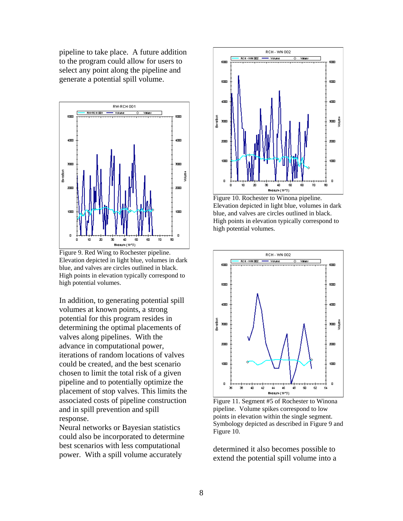pipeline to take place. A future addition to the program could allow for users to select any point along the pipeline and generate a potential spill volume.



Figure 9. Red Wing to Rochester pipeline. Elevation depicted in light blue, volumes in dark blue, and valves are circles outlined in black. High points in elevation typically correspond to high potential volumes.

In addition, to generating potential spill volumes at known points, a strong potential for this program resides in determining the optimal placements of valves along pipelines. With the advance in computational power, iterations of random locations of valves could be created, and the best scenario chosen to limit the total risk of a given pipeline and to potentially optimize the placement of stop valves. This limits the associated costs of pipeline construction and in spill prevention and spill response.

Neural networks or Bayesian statistics could also be incorporated to determine best scenarios with less computational power. With a spill volume accurately



Figure 10. Rochester to Winona pipeline. Elevation depicted in light blue, volumes in dark blue, and valves are circles outlined in black. High points in elevation typically correspond to high potential volumes.



Figure 11. Segment #5 of Rochester to Winona pipeline. Volume spikes correspond to low points in elevation within the single segment. Symbology depicted as described in Figure 9 and Figure 10.

determined it also becomes possible to extend the potential spill volume into a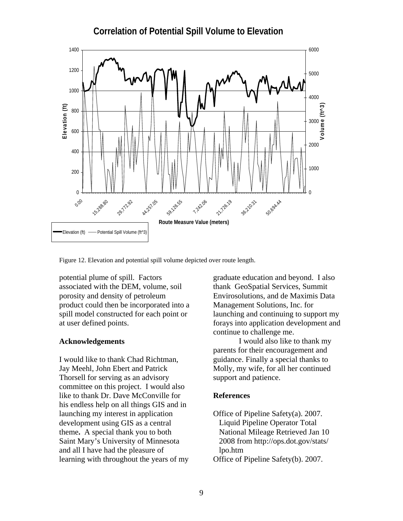# **Correlation of Potential Spill Volume to Elevation**



Figure 12. Elevation and potential spill volume depicted over route length.

potential plume of spill. Factors associated with the DEM, volume, soil porosity and density of petroleum product could then be incorporated into a spill model constructed for each point or at user defined points.

I would like to thank Chad Richtman, Jay Meehl, John Ebert and Patrick Thorsell for serving as an advisory committee on this project. I would also like to thank Dr. Dave McConville for **References**  his endless help on all things GIS and in launching my interest in application Office of Pipeline Safety(a). 2007. development using GIS as a central theme**.** A special thank you to both Saint Mary's University of Minnesota and all I have had the pleasure of lpo.htm learning with throughout the years of my Office of Pipeline Safety(b). 2007.

graduate education and beyond. I also thank GeoSpatial Services, Summit Envirosolutions, and de Maximis Data Management Solutions, Inc. for launching and continuing to support my forays into application development and continue to challenge me.

**Acknowledgements** I would also like to thank my parents for their encouragement and guidance. Finally a special thanks to Molly, my wife, for all her continued support and patience.

Liquid Pipeline Operator Total National Mileage Retrieved Jan 10 2008 from http://ops.dot.gov/stats/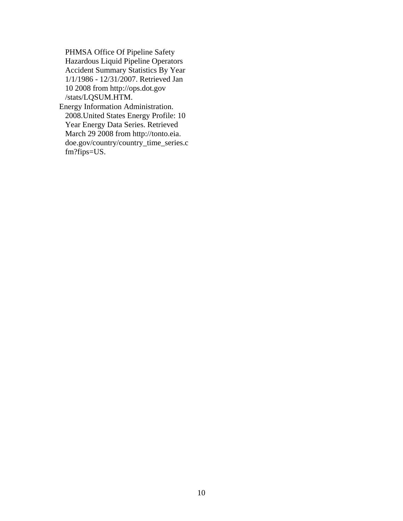PHMSA Office Of Pipeline Safety Hazardous Liquid Pipeline Operators Accident Summary Statistics By Year 1/1/1986 - 12/31/2007. Retrieved Jan 10 2008 from http://ops.dot.gov /stats/LQSUM.HTM.

Energy Information Administration. 2008.United States Energy Profile: 10 Year Energy Data Series. Retrieved March 29 2008 from http://tonto.eia. doe.gov/country/country\_time\_series.c fm?fips=US.